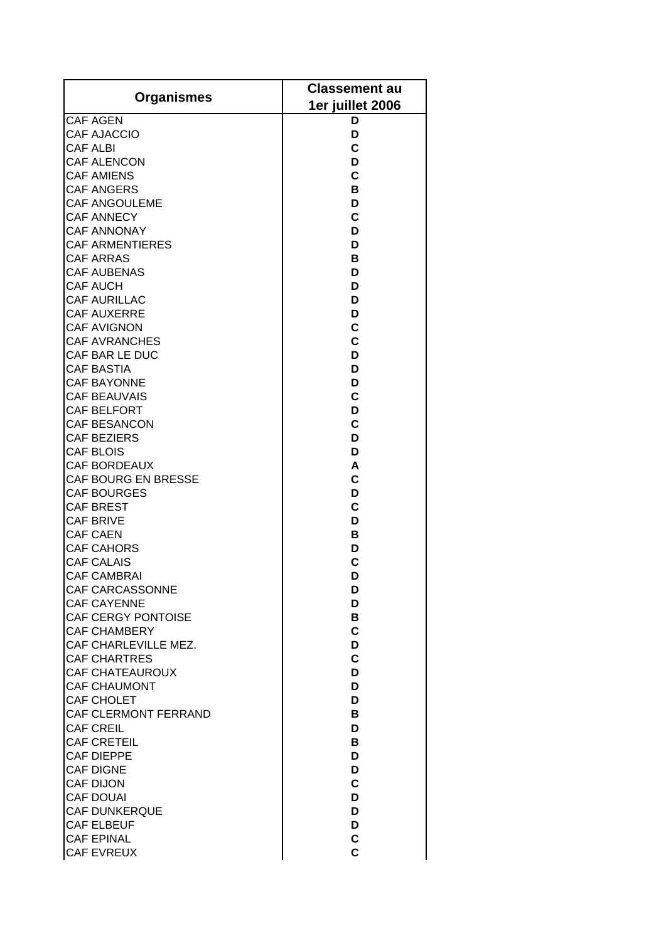| <b>Organismes</b>                    | <b>Classement au</b> |
|--------------------------------------|----------------------|
|                                      | 1er juillet 2006     |
| <b>CAF AGEN</b>                      | D                    |
| <b>CAF AJACCIO</b>                   | D                    |
| <b>CAF ALBI</b>                      | C                    |
| <b>CAF ALENCON</b>                   | D                    |
| <b>CAF AMIENS</b>                    | C                    |
| <b>CAF ANGERS</b>                    | В                    |
| CAF ANGOULEME                        | D                    |
| CAF ANNECY                           | C                    |
| <b>CAF ANNONAY</b>                   | D                    |
| <b>CAF ARMENTIERES</b>               | D                    |
| <b>CAF ARRAS</b>                     | в                    |
| <b>CAF AUBENAS</b>                   | D                    |
| CAF AUCH                             | D                    |
| <b>CAF AURILLAC</b>                  | D                    |
| <b>CAF AUXERRE</b>                   | D                    |
| <b>CAF AVIGNON</b>                   | C                    |
| <b>CAF AVRANCHES</b>                 | $\mathbf c$          |
| CAF BAR LE DUC                       | D                    |
| <b>CAF BASTIA</b>                    | D                    |
| <b>CAF BAYONNE</b>                   | D                    |
| <b>CAF BEAUVAIS</b>                  | C                    |
| CAF BELFORT                          | D                    |
| <b>CAF BESANCON</b>                  | C                    |
| <b>CAF BEZIERS</b>                   | D                    |
| CAF BLOIS                            | D                    |
| <b>CAF BORDEAUX</b>                  | A                    |
| CAF BOURG EN BRESSE                  | C                    |
| <b>CAF BOURGES</b>                   | D                    |
| <b>CAF BREST</b>                     | $\mathbf c$          |
| <b>CAF BRIVE</b>                     | D                    |
| <b>CAF CAEN</b><br><b>CAF CAHORS</b> | В                    |
| <b>CAF CALAIS</b>                    | D<br>$\overline{c}$  |
| <b>CAF CAMBRAI</b>                   | D                    |
| <b>CAF CARCASSONNE</b>               | D                    |
| <b>CAF CAYENNE</b>                   | D                    |
| <b>CAF CERGY PONTOISE</b>            | в                    |
| <b>CAF CHAMBERY</b>                  | C                    |
| CAF CHARLEVILLE MEZ.                 | D                    |
| <b>CAF CHARTRES</b>                  | $\mathbf c$          |
| <b>CAF CHATEAUROUX</b>               | D                    |
| <b>CAF CHAUMONT</b>                  | D                    |
| CAF CHOLET                           | D                    |
| CAF CLERMONT FERRAND                 | B                    |
| CAF CREIL                            | D                    |
| <b>CAF CRETEIL</b>                   | B                    |
| <b>CAF DIEPPE</b>                    | D                    |
| <b>CAF DIGNE</b>                     | D                    |
| <b>CAF DIJON</b>                     | $\mathbf c$          |
| <b>CAF DOUAI</b>                     | D                    |
| <b>CAF DUNKERQUE</b>                 | D                    |
| <b>CAF ELBEUF</b>                    | D                    |
| <b>CAF EPINAL</b>                    | C                    |
| <b>CAF EVREUX</b>                    | Ċ                    |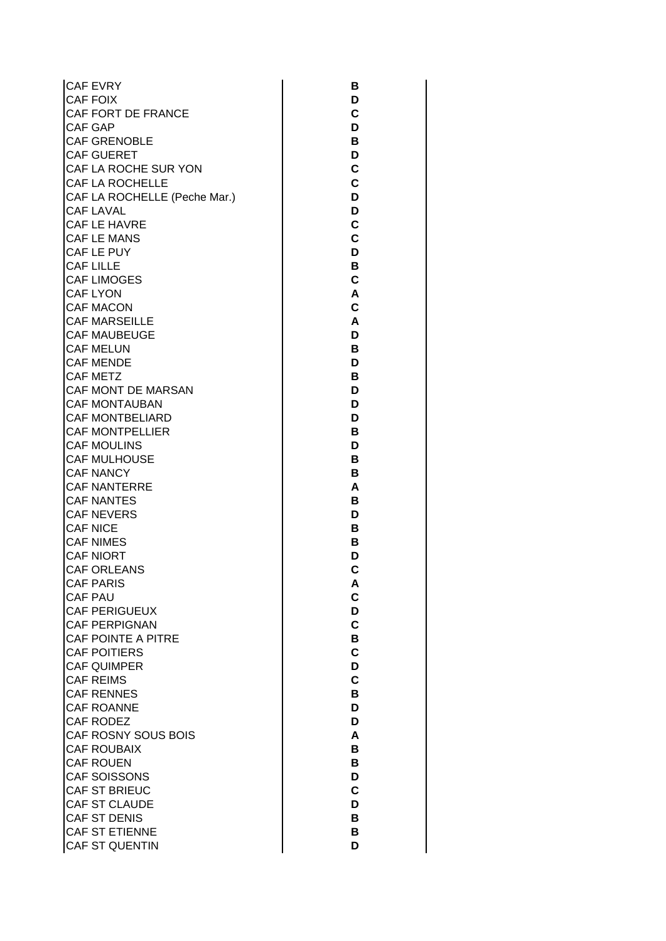CAF EVRY CAF FOIX CAF FORT DE FRANCE CAF GAP CAF GRENOBLE CAF GUERET CAF LA ROCHE SUR YON CAF LA ROCHELLE CAF LA ROCHELLE (Peche Mar.) CAF LAVAL CAF LE HAVRE CAF LE MANS CAF LE PUY CAF LILLE CAF LIMOGES CAF LYON CAF MACON CAF MARSEILLE CAF MAUBEUGE CAF MELUN CAF MENDE CAF METZ CAF MONT DE MARSAN CAF MONTAUBAN CAF MONTBELIARD CAF MONTPELLIER CAF MOULINS CAF MULHOUSE CAF NANCY CAF NANTERRE CAF NANTES CAF NEVERS CAF NICE CAF NIMES CAF NIORT CAF ORLEANS CAF PARIS CAF PAU CAF PERIGUEUX CAF PERPIGNAN CAF POINTE A PITRE CAF POITIERS CAF QUIMPER CAF REIMS CAF RENNES CAF ROANNE CAF RODEZ CAF ROSNY SOUS BOIS CAF ROUBAIX CAF ROUEN CAF SOISSONS CAF ST BRIEUC CAF ST CLAUDE CAF ST DENIS CAF ST ETIENNE CAF ST QUENTIN

**B D C D B D C C D D C C D B C A C A D B D B D D D B D B B A B D B B D C A C D C B C D C B D D A B B D C D B B D**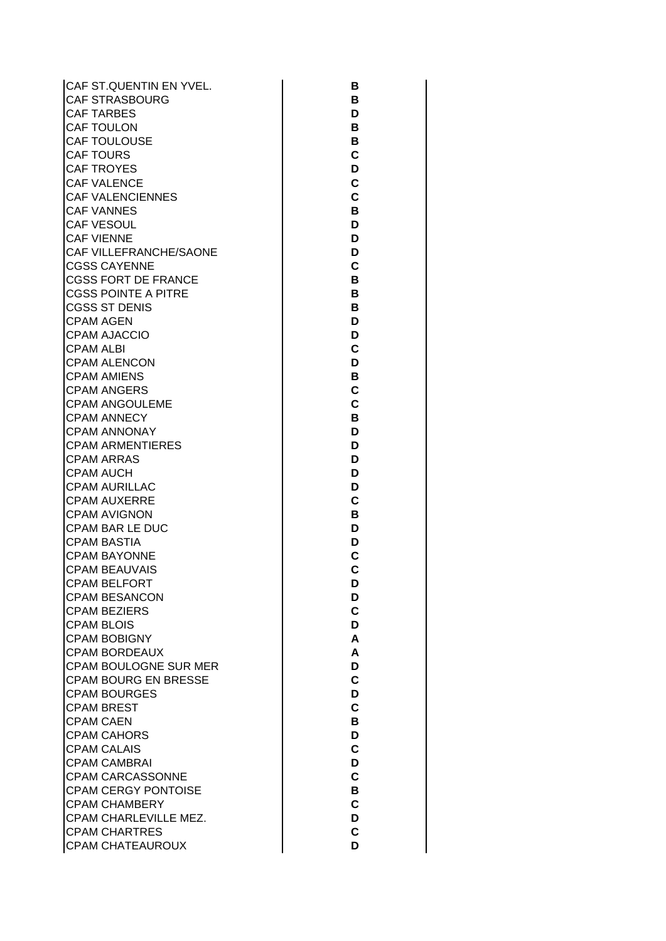CAF ST.QUENTIN EN YVEL. CAF STRASBOURG CAF TARBES CAF TOULON CAF TOULOUSE CAF TOURS CAF TROYES CAF VALENCE CAF VALENCIENNES CAF VANNES CAF VESOUL CAF VIENNE CAF VILLEFRANCHE/SAONE CGSS CAYENNE CGSS FORT DE FRANCE CGSS POINTE A PITRE CGSS ST DENIS CPAM AGEN CPAM AJACCIO CPAM ALBI CPAM ALENCON CPAM AMIENS CPAM ANGERS CPAM ANGOULEME CPAM ANNECY CPAM ANNONAY CPAM ARMENTIERES CPAM ARRAS CPAM AUCH CPAM AURILLAC CPAM AUXERRE CPAM AVIGNON CPAM BAR LE DUC CPAM BASTIA CPAM BAYONNE CPAM BEAUVAIS CPAM BELFORT CPAM BESANCON CPAM BEZIERS CPAM BLOIS CPAM BOBIGNY CPAM BORDEAUX CPAM BOULOGNE SUR MER CPAM BOURG EN BRESSE CPAM BOURGES CPAM BREST CPAM CAEN CPAM CAHORS CPAM CALAIS CPAM CAMBRAI CPAM CARCASSONNE CPAM CERGY PONTOISE CPAM CHAMBERY CPAM CHARLEVILLE MEZ. CPAM CHARTRES CPAM CHATEAUROUX

| В                   |
|---------------------|
|                     |
|                     |
|                     |
| Г<br>I              |
|                     |
| В                   |
|                     |
| B                   |
| C                   |
|                     |
| D                   |
| C                   |
|                     |
| C                   |
|                     |
| B                   |
| D                   |
|                     |
| D                   |
| D                   |
|                     |
| C                   |
|                     |
| В                   |
| в                   |
|                     |
| в                   |
| D<br>$\blacksquare$ |
|                     |
| D<br>J              |
|                     |
| $\mathsf{C}$        |
| D                   |
|                     |
| B                   |
| $\overline{c}$      |
|                     |
| C                   |
|                     |
| в                   |
| D                   |
|                     |
| I<br>້              |
| D                   |
|                     |
| D                   |
|                     |
|                     |
| נ<br>I              |
|                     |
| C                   |
|                     |
|                     |
| Ľ                   |
| D                   |
|                     |
| C                   |
|                     |
| $\overline{C}$      |
| D                   |
|                     |
| D                   |
| Ć                   |
|                     |
| D                   |
| A                   |
|                     |
| A                   |
|                     |
| D                   |
| $\mathbf C$         |
|                     |
| D                   |
| $\mathbf C$         |
|                     |
| B                   |
|                     |
| D                   |
| $\mathbf C$         |
|                     |
| D                   |
| C                   |
|                     |
| B                   |
| $\mathbf C$         |
|                     |
| D                   |
|                     |
| $\mathbf c$<br>D    |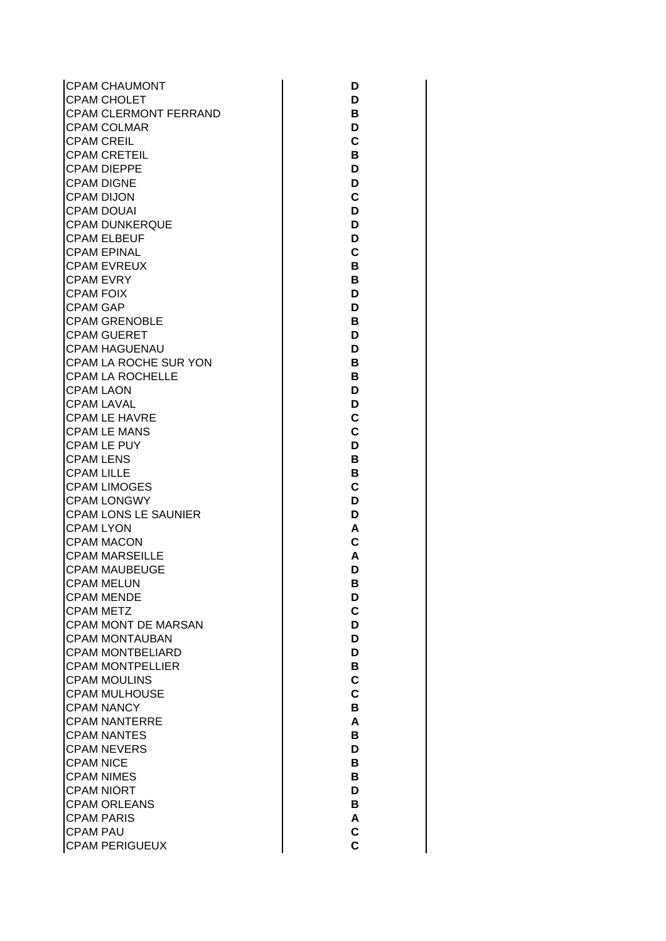CPAM CHAUMONT CPAM CHOLET CPAM CLERMONT FERRAND CPAM COLMAR CPAM CREIL CPAM CRETEIL CPAM DIEPPE CPAM DIGNE CPAM DIJON CPAM DOUAI CPAM DUNKERQUE CPAM ELBEUF CPAM EPINAL CPAM EVREUX CPAM EVRY CPAM FOIX CPAM GAP CPAM GRENOBLE CPAM GUERET CPAM HAGUENAU CPAM LA ROCHE SUR YON CPAM LA ROCHELLE CPAM LAON CPAM LAVAL CPAM LE HAVRE CPAM LE MANS CPAM LE PUY CPAM LENS CPAM LILLE CPAM LIMOGES CPAM LONGWY CPAM LONS LE SAUNIER CPAM LYON CPAM MACON CPAM MARSEILLE CPAM MAUBEUGE CPAM MELUN CPAM MENDE CPAM METZ CPAM MONT DE MARSAN CPAM MONTAUBAN CPAM MONTBELIARD CPAM MONTPELLIER CPAM MOULINS CPAM MULHOUSE CPAM NANCY CPAM NANTERRE CPAM NANTES CPAM NEVERS CPAM NICE CPAM NIMES CPAM NIORT CPAM ORLEANS CPAM PARIS CPAM PAU CPAM PERIGUEUX

**D D B D C B D D C D D D C B B D D B D D B B D D C C D B B C D D A C A D B D C D D D B C C B A B D B B D B A C C**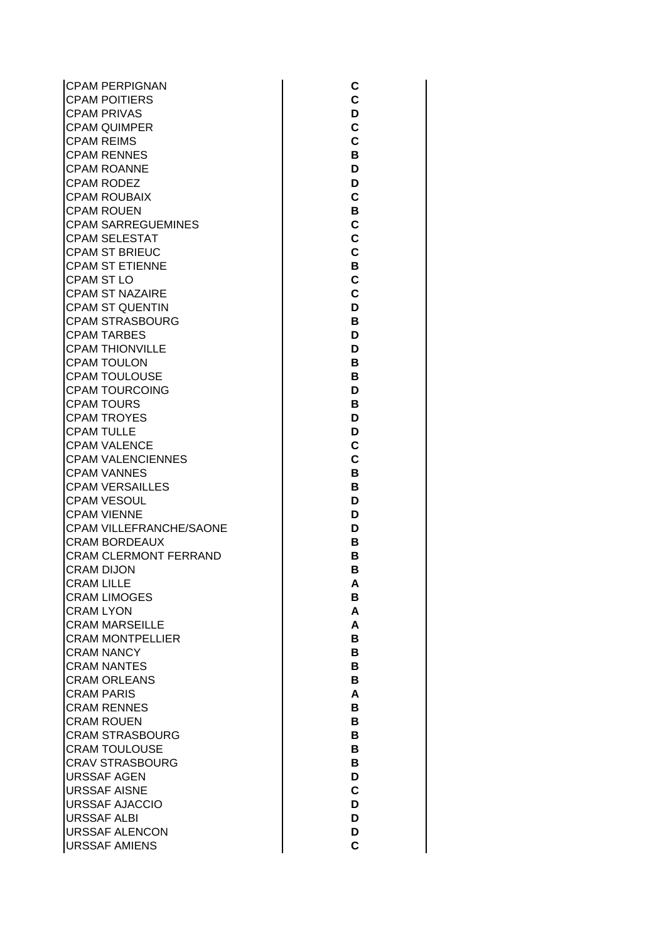| <b>CPAM PERPIGNAN</b>        |
|------------------------------|
| <b>CPAM POITIERS</b>         |
| <b>CPAM PRIVAS</b>           |
| <b>CPAM QUIMPER</b>          |
| <b>CPAM REIMS</b>            |
| <b>CPAM RENNES</b>           |
| <b>CPAM ROANNE</b>           |
| CPAM RODEZ                   |
| <b>CPAM ROUBAIX</b>          |
| <b>CPAM ROUEN</b>            |
| <b>CPAM SARREGUEMINES</b>    |
| CPAM SELESTAT                |
| <b>CPAM ST BRIEUC</b>        |
| <b>CPAM ST ETIENNE</b>       |
| <b>CPAM ST LO</b>            |
| <b>CPAM ST NAZAIRE</b>       |
| CPAM ST QUENTIN              |
| <b>CPAM STRASBOURG</b>       |
| <b>CPAM TARBES</b>           |
| <b>CPAM THIONVILLE</b>       |
| <b>CPAM TOULON</b>           |
| <b>CPAM TOULOUSE</b>         |
| <b>CPAM TOURCOING</b>        |
| <b>CPAM TOURS</b>            |
| <b>CPAM TROYES</b>           |
| <b>CPAM TULLE</b>            |
| <b>CPAM VALENCE</b>          |
| CPAM VALENCIENNES            |
| <b>CPAM VANNES</b>           |
| <b>CPAM VERSAILLES</b>       |
| CPAM VESOUL                  |
| <b>CPAM VIENNE</b>           |
| CPAM VILLEFRANCHE/SAONE      |
| <b>CRAM BORDEAUX</b>         |
| <b>CRAM CLERMONT FERRAND</b> |
| <b>CRAM DIJON</b>            |
| I<br><b>CRAM LILLE</b>       |
| <b>CRAM LIMOGES</b>          |
| <b>CRAM LYON</b>             |
|                              |
| <b>CRAM MARSEILLE</b>        |
| <b>CRAM MONTPELLIER</b>      |
| <b>CRAM NANCY</b>            |
| <b>CRAM NANTES</b>           |
| <b>CRAM ORLEANS</b>          |
| <b>CRAM PARIS</b>            |
| <b>CRAM RENNES</b>           |
| <b>CRAM ROUEN</b>            |
| <b>CRAM STRASBOURG</b>       |
| <b>CRAM TOULOUSE</b>         |
| <b>CRAV STRASBOURG</b>       |
| <b>URSSAF AGEN</b>           |
| <b>URSSAF AISNE</b>          |
| <b>URSSAF AJACCIO</b>        |
| <b>URSSAF ALBI</b>           |
| <b>URSSAF ALENCON</b>        |
| <b>URSSAF AMIENS</b>         |

| C<br>;             |  |
|--------------------|--|
| C                  |  |
| D                  |  |
| C                  |  |
| (                  |  |
| E                  |  |
|                    |  |
| ,                  |  |
| ς                  |  |
| в                  |  |
| C                  |  |
| $\mathsf{C}$       |  |
| $\mathbf$          |  |
| В                  |  |
| $\mathsf{C}$       |  |
| $\mathbf \epsilon$ |  |
| I<br>້             |  |
| B                  |  |
| D                  |  |
| D                  |  |
| в                  |  |
| B                  |  |
| כ                  |  |
| В                  |  |
| I                  |  |
| I                  |  |
| C                  |  |
| $\mathbf \zeta$    |  |
| B                  |  |
| B                  |  |
| D                  |  |
| )                  |  |
| )                  |  |
|                    |  |
| B                  |  |
|                    |  |
| A                  |  |
| B<br>A             |  |
|                    |  |
| A<br>B             |  |
| B                  |  |
| B                  |  |
| B                  |  |
| A                  |  |
| B                  |  |
| B                  |  |
| B                  |  |
| B                  |  |
| B                  |  |
| D                  |  |
| $\mathsf{C}$       |  |
| D                  |  |
| D                  |  |
| D                  |  |
| $\mathsf{C}$       |  |
|                    |  |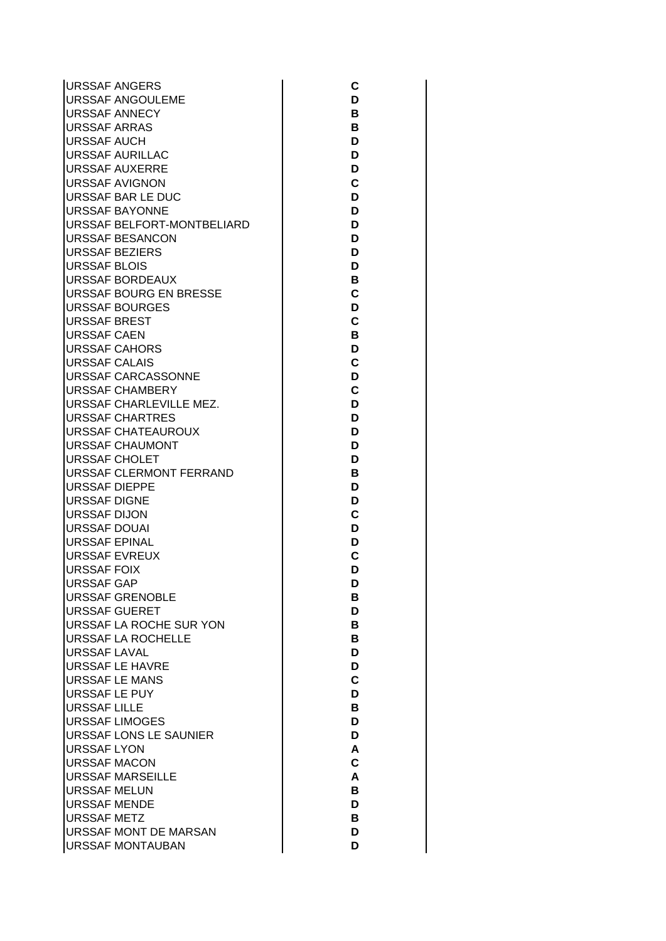| <b>URSSAF ANGERS</b>          |
|-------------------------------|
| URSSAF ANGOULEME              |
| <b>URSSAF ANNECY</b>          |
| <b>URSSAF ARRAS</b>           |
| <b>URSSAF AUCH</b>            |
| <b>URSSAF AURILLAC</b>        |
| <b>URSSAF AUXERRE</b>         |
| <b>URSSAF AVIGNON</b>         |
| URSSAF BAR LE DUC             |
| <b>URSSAF BAYONNE</b>         |
| URSSAF BELFORT-MONTBELIARD    |
| <b>URSSAF BESANCON</b>        |
| <b>URSSAF BEZIERS</b>         |
| <b>URSSAF BLOIS</b>           |
| <b>URSSAF BORDEAUX</b>        |
| <b>URSSAF BOURG EN BRESSE</b> |
| <b>URSSAF BOURGES</b>         |
| <b>URSSAF BREST</b>           |
| <b>URSSAF CAEN</b>            |
| <b>URSSAF CAHORS</b>          |
| <b>URSSAF CALAIS</b>          |
| URSSAF CARCASSONNE            |
| <b>URSSAF CHAMBERY</b>        |
| URSSAF CHARLEVILLE MEZ.       |
| URSSAF CHARTRES               |
| URSSAF CHATEAUROUX            |
| <b>URSSAF CHAUMONT</b>        |
| <b>URSSAF CHOLET</b>          |
| URSSAF CLERMONT FERRAND       |
| <b>URSSAF DIEPPE</b>          |
| <b>URSSAF DIGNE</b>           |
| <b>URSSAF DIJON</b>           |
| <b>URSSAF DOUAI</b>           |
| <b>URSSAF EPINAL</b>          |
| <b>URSSAF EVREUX</b>          |
| <b>URSSAF FOIX</b>            |
| URSSAF GAP                    |
| <b>URSSAF GRENOBLE</b>        |
| <b>URSSAF GUERET</b>          |
| URSSAF LA ROCHE SUR YON       |
| <b>URSSAF LA ROCHELLE</b>     |
| <b>URSSAF LAVAL</b>           |
| <b>URSSAF LE HAVRE</b>        |
| <b>URSSAF LE MANS</b>         |
| <b>URSSAF LE PUY</b>          |
| <b>URSSAF LILLE</b>           |
| <b>URSSAF LIMOGES</b>         |
| <b>URSSAF LONS LE SAUNIER</b> |
| <b>URSSAF LYON</b>            |
| <b>URSSAF MACON</b>           |
| <b>URSSAF MARSEILLE</b>       |
| <b>URSSAF MELUN</b>           |
| <b>URSSAF MENDE</b>           |
| <b>URSSAF METZ</b>            |
| URSSAF MONT DE MARSAN         |
| <b>URSSAF MONTAUBAN</b>       |

**CDBBDDDCDDDDDBCDCBDCDCDDDDBDDCDDCDDBDBBDDCDBDDACABDBDD**